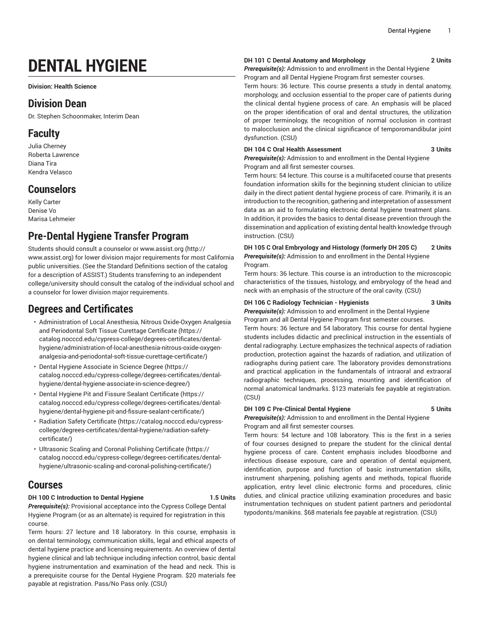# **DENTAL HYGIENE**

**Division: Health Science**

## **Division Dean**

Dr. Stephen Schoonmaker, Interim Dean

## **Faculty**

Julia Cherney Roberta Lawrence Diana Tira Kendra Velasco

## **Counselors**

Kelly Carter Denise Vo Marisa Lehmeier

## **Pre-Dental Hygiene Transfer Program**

Students should consult a counselor or [www.assist.org](http://www.assist.org) ([http://](http://www.assist.org) [www.assist.org](http://www.assist.org)) for lower division major requirements for most California public universities. (See the Standard Definitions section of the catalog for a description of ASSIST.) Students transferring to an independent college/university should consult the catalog of the individual school and a counselor for lower division major requirements.

## **Degrees and Certificates**

- [Administration](https://catalog.nocccd.edu/cypress-college/degrees-certificates/dental-hygiene/administration-of-local-anesthesia-nitrous-oxide-oxygen-analgesia-and-periodontal-soft-tissue-curettage-certificate/) of Local Anesthesia, Nitrous Oxide-Oxygen Analgesia and [Periodontal](https://catalog.nocccd.edu/cypress-college/degrees-certificates/dental-hygiene/administration-of-local-anesthesia-nitrous-oxide-oxygen-analgesia-and-periodontal-soft-tissue-curettage-certificate/) Soft Tissue Curettage Certificate [\(https://](https://catalog.nocccd.edu/cypress-college/degrees-certificates/dental-hygiene/administration-of-local-anesthesia-nitrous-oxide-oxygen-analgesia-and-periodontal-soft-tissue-curettage-certificate/) [catalog.nocccd.edu/cypress-college/degrees-certificates/dental](https://catalog.nocccd.edu/cypress-college/degrees-certificates/dental-hygiene/administration-of-local-anesthesia-nitrous-oxide-oxygen-analgesia-and-periodontal-soft-tissue-curettage-certificate/)[hygiene/administration-of-local-anesthesia-nitrous-oxide-oxygen](https://catalog.nocccd.edu/cypress-college/degrees-certificates/dental-hygiene/administration-of-local-anesthesia-nitrous-oxide-oxygen-analgesia-and-periodontal-soft-tissue-curettage-certificate/)[analgesia-and-periodontal-soft-tissue-curettage-certificate/](https://catalog.nocccd.edu/cypress-college/degrees-certificates/dental-hygiene/administration-of-local-anesthesia-nitrous-oxide-oxygen-analgesia-and-periodontal-soft-tissue-curettage-certificate/))
- Dental Hygiene [Associate](https://catalog.nocccd.edu/cypress-college/degrees-certificates/dental-hygiene/dental-hygiene-associate-in-science-degree/) in Science Degree ([https://](https://catalog.nocccd.edu/cypress-college/degrees-certificates/dental-hygiene/dental-hygiene-associate-in-science-degree/) [catalog.nocccd.edu/cypress-college/degrees-certificates/dental](https://catalog.nocccd.edu/cypress-college/degrees-certificates/dental-hygiene/dental-hygiene-associate-in-science-degree/)[hygiene/dental-hygiene-associate-in-science-degree/\)](https://catalog.nocccd.edu/cypress-college/degrees-certificates/dental-hygiene/dental-hygiene-associate-in-science-degree/)
- Dental Hygiene Pit and Fissure Sealant [Certificate](https://catalog.nocccd.edu/cypress-college/degrees-certificates/dental-hygiene/dental-hygiene-pit-and-fissure-sealant-certificate/) ([https://](https://catalog.nocccd.edu/cypress-college/degrees-certificates/dental-hygiene/dental-hygiene-pit-and-fissure-sealant-certificate/) [catalog.nocccd.edu/cypress-college/degrees-certificates/dental](https://catalog.nocccd.edu/cypress-college/degrees-certificates/dental-hygiene/dental-hygiene-pit-and-fissure-sealant-certificate/)[hygiene/dental-hygiene-pit-and-fissure-sealant-certificate/\)](https://catalog.nocccd.edu/cypress-college/degrees-certificates/dental-hygiene/dental-hygiene-pit-and-fissure-sealant-certificate/)
- Radiation Safety [Certificate](https://catalog.nocccd.edu/cypress-college/degrees-certificates/dental-hygiene/radiation-safety-certificate/) [\(https://catalog.nocccd.edu/cypress](https://catalog.nocccd.edu/cypress-college/degrees-certificates/dental-hygiene/radiation-safety-certificate/)[college/degrees-certificates/dental-hygiene/radiation-safety](https://catalog.nocccd.edu/cypress-college/degrees-certificates/dental-hygiene/radiation-safety-certificate/)[certificate/](https://catalog.nocccd.edu/cypress-college/degrees-certificates/dental-hygiene/radiation-safety-certificate/))
- Ultrasonic Scaling and Coronal Polishing [Certificate](https://catalog.nocccd.edu/cypress-college/degrees-certificates/dental-hygiene/ultrasonic-scaling-and-coronal-polishing-certificate/) ([https://](https://catalog.nocccd.edu/cypress-college/degrees-certificates/dental-hygiene/ultrasonic-scaling-and-coronal-polishing-certificate/) [catalog.nocccd.edu/cypress-college/degrees-certificates/dental](https://catalog.nocccd.edu/cypress-college/degrees-certificates/dental-hygiene/ultrasonic-scaling-and-coronal-polishing-certificate/)[hygiene/ultrasonic-scaling-and-coronal-polishing-certificate/\)](https://catalog.nocccd.edu/cypress-college/degrees-certificates/dental-hygiene/ultrasonic-scaling-and-coronal-polishing-certificate/)

## **Courses**

### **DH 100 C Introduction to Dental Hygiene 1.5 Units**

*Prerequisite(s):* Provisional acceptance into the Cypress College Dental Hygiene Program (or as an alternate) is required for registration in this course.

Term hours: 27 lecture and 18 laboratory. In this course, emphasis is on dental terminology, communication skills, legal and ethical aspects of dental hygiene practice and licensing requirements. An overview of dental hygiene clinical and lab technique including infection control, basic dental hygiene instrumentation and examination of the head and neck. This is a prerequisite course for the Dental Hygiene Program. \$20 materials fee payable at registration. Pass/No Pass only. (CSU)

### **DH 101 C Dental Anatomy and Morphology 2 Units**

*Prerequisite(s):* Admission to and enrollment in the Dental Hygiene Program and all Dental Hygiene Program first semester courses.

Term hours: 36 lecture. This course presents a study in dental anatomy, morphology, and occlusion essential to the proper care of patients during the clinical dental hygiene process of care. An emphasis will be placed on the proper identification of oral and dental structures, the utilization of proper terminology, the recognition of normal occlusion in contrast to malocclusion and the clinical significance of temporomandibular joint dysfunction. (CSU)

#### **DH 104 C Oral Health Assessment 3 Units**

*Prerequisite(s):* Admission to and enrollment in the Dental Hygiene Program and all first semester courses.

Term hours: 54 lecture. This course is a multifaceted course that presents foundation information skills for the beginning student clinician to utilize daily in the direct patient dental hygiene process of care. Primarily, it is an introduction to the recognition, gathering and interpretation of assessment data as an aid to formulating electronic dental hygiene treatment plans. In addition, it provides the basics to dental disease prevention through the dissemination and application of existing dental health knowledge through instruction. (CSU)

**DH 105 C Oral Embryology and Histology (formerly DH 205 C) 2 Units** *Prerequisite(s):* Admission to and enrollment in the Dental Hygiene Program.

Term hours: 36 lecture. This course is an introduction to the microscopic characteristics of the tissues, histology, and embryology of the head and neck with an emphasis of the structure of the oral cavity. (CSU)

### **DH 106 C Radiology Technician - Hygienists 3 Units**

*Prerequisite(s):* Admission to and enrollment in the Dental Hygiene Program and all Dental Hygiene Program first semester courses.

Term hours: 36 lecture and 54 laboratory. This course for dental hygiene students includes didactic and preclinical instruction in the essentials of dental radiography. Lecture emphasizes the technical aspects of radiation production, protection against the hazards of radiation, and utilization of radiographs during patient care. The laboratory provides demonstrations and practical application in the fundamentals of intraoral and extraoral radiographic techniques, processing, mounting and identification of normal anatomical landmarks. \$123 materials fee payable at registration. (CSU)

### **DH 109 C Pre-Clinical Dental Hygiene 5 Units**

*Prerequisite(s):* Admission to and enrollment in the Dental Hygiene Program and all first semester courses.

Term hours: 54 lecture and 108 laboratory. This is the first in a series of four courses designed to prepare the student for the clinical dental hygiene process of care. Content emphasis includes bloodborne and infectious disease exposure, care and operation of dental equipment, identification, purpose and function of basic instrumentation skills, instrument sharpening, polishing agents and methods, topical fluoride application, entry level clinic electronic forms and procedures, clinic duties, and clinical practice utilizing examination procedures and basic instrumentation techniques on student patient partners and periodontal typodonts/manikins. \$68 materials fee payable at registration. (CSU)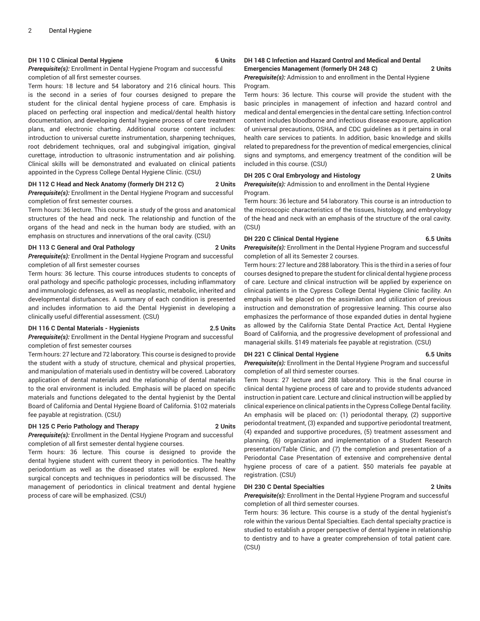#### **DH 110 C Clinical Dental Hygiene 6 Units**

*Prerequisite(s):* Enrollment in Dental Hygiene Program and successful completion of all first semester courses.

Term hours: 18 lecture and 54 laboratory and 216 clinical hours. This is the second in a series of four courses designed to prepare the student for the clinical dental hygiene process of care. Emphasis is placed on perfecting oral inspection and medical/dental health history documentation, and developing dental hygiene process of care treatment plans, and electronic charting. Additional course content includes: introduction to universal curette instrumentation, sharpening techniques, root debridement techniques, oral and subgingival irrigation, gingival curettage, introduction to ultrasonic instrumentation and air polishing. Clinical skills will be demonstrated and evaluated on clinical patients appointed in the Cypress College Dental Hygiene Clinic. (CSU)

### **DH 112 C Head and Neck Anatomy (formerly DH 212 C) 2 Units**

*Prerequisite(s):* Enrollment in the Dental Hygiene Program and successful completion of first semester courses.

Term hours: 36 lecture. This course is a study of the gross and anatomical structures of the head and neck. The relationship and function of the organs of the head and neck in the human body are studied, with an emphasis on structures and innervations of the oral cavity. (CSU)

### **DH 113 C General and Oral Pathology 2 Units**

*Prerequisite(s):* Enrollment in the Dental Hygiene Program and successful completion of all first semester courses

Term hours: 36 lecture. This course introduces students to concepts of oral pathology and specific pathologic processes, including inflammatory and immunologic defenses, as well as neoplastic, metabolic, inherited and developmental disturbances. A summary of each condition is presented and includes information to aid the Dental Hygienist in developing a clinically useful differential assessment. (CSU)

#### **DH 116 C Dental Materials - Hygienists 2.5 Units**

*Prerequisite(s):* Enrollment in the Dental Hygiene Program and successful completion of first semester courses

Term hours: 27 lecture and 72 laboratory. This course is designed to provide the student with a study of structure, chemical and physical properties, and manipulation of materials used in dentistry will be covered. Laboratory application of dental materials and the relationship of dental materials to the oral environment is included. Emphasis will be placed on specific materials and functions delegated to the dental hygienist by the Dental Board of California and Dental Hygiene Board of California. \$102 materials fee payable at registration. (CSU)

#### **DH 125 C Perio Pathology and Therapy 2 Units**

*Prerequisite(s):* Enrollment in the Dental Hygiene Program and successful completion of all first semester dental hygiene courses.

Term hours: 36 lecture. This course is designed to provide the dental hygiene student with current theory in periodontics. The healthy periodontium as well as the diseased states will be explored. New surgical concepts and techniques in periodontics will be discussed. The management of periodontics in clinical treatment and dental hygiene process of care will be emphasized. (CSU)

#### **DH 148 C Infection and Hazard Control and Medical and Dental Emergencies Management (formerly DH 248 C) 2 Units**

*Prerequisite(s):* Admission to and enrollment in the Dental Hygiene Program.

Term hours: 36 lecture. This course will provide the student with the basic principles in management of infection and hazard control and medical and dental emergencies in the dental care setting. Infection control content includes bloodborne and infectious disease exposure, application of universal precautions, OSHA, and CDC guidelines as it pertains in oral health care services to patients. In addition, basic knowledge and skills related to preparedness for the prevention of medical emergencies, clinical signs and symptoms, and emergency treatment of the condition will be included in this course. (CSU)

### **DH 205 C Oral Embryology and Histology 2 Units**

*Prerequisite(s):* Admission to and enrollment in the Dental Hygiene Program.

Term hours: 36 lecture and 54 laboratory. This course is an introduction to the microscopic characteristics of the tissues, histology, and embryology of the head and neck with an emphasis of the structure of the oral cavity. (CSU)

### **DH 220 C Clinical Dental Hygiene 6.5 Units**

*Prerequisite(s):* Enrollment in the Dental Hygiene Program and successful completion of all its Semester 2 courses.

Term hours: 27 lecture and 288 laboratory. This is the third in a series of four courses designed to prepare the student for clinical dental hygiene process of care. Lecture and clinical instruction will be applied by experience on clinical patients in the Cypress College Dental Hygiene Clinic facility. An emphasis will be placed on the assimilation and utilization of previous instruction and demonstration of progressive learning. This course also emphasizes the performance of those expanded duties in dental hygiene as allowed by the California State Dental Practice Act, Dental Hygiene Board of California, and the progressive development of professional and managerial skills. \$149 materials fee payable at registration. (CSU)

#### **DH 221 C Clinical Dental Hygiene 6.5 Units**

*Prerequisite(s):* Enrollment in the Dental Hygiene Program and successful completion of all third semester courses.

Term hours: 27 lecture and 288 laboratory. This is the final course in clinical dental hygiene process of care and to provide students advanced instruction in patient care. Lecture and clinical instruction will be applied by clinical experience on clinical patients in the Cypress College Dentalfacility. An emphasis will be placed on: (1) periodontal therapy, (2) supportive periodontal treatment, (3) expanded and supportive periodontal treatment, (4) expanded and supportive procedures, (5) treatment assessment and planning, (6) organization and implementation of a Student Research presentation/Table Clinic, and (7) the completion and presentation of a Periodontal Case Presentation of extensive and comprehensive dental hygiene process of care of a patient. \$50 materials fee payable at registration. (CSU)

#### **DH 230 C Dental Specialties 2 Units**

*Prerequisite(s):* Enrollment in the Dental Hygiene Program and successful completion of all third semester courses.

Term hours: 36 lecture. This course is a study of the dental hygienist's role within the various Dental Specialties. Each dental specialty practice is studied to establish a proper perspective of dental hygiene in relationship to dentistry and to have a greater comprehension of total patient care. (CSU)